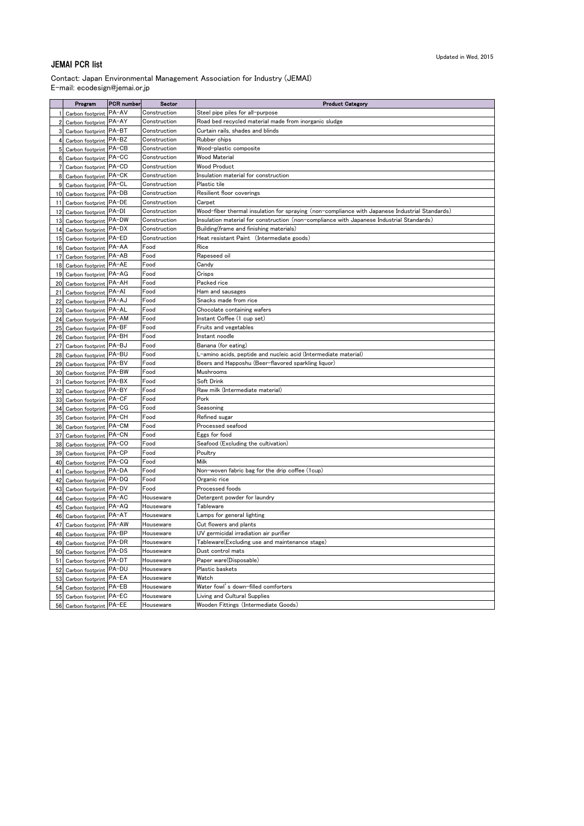## JEMAI PCR list

## Contact: Japan Environmental Management Association for Industry (JEMAI) E-mail: ecodesign@jemai.or.jp

|                 | Program                     | <b>PCR</b> number | Sector       | <b>Product Category</b>                                                                        |
|-----------------|-----------------------------|-------------------|--------------|------------------------------------------------------------------------------------------------|
|                 | Carbon footprint PA-AV      |                   | Construction | Steel pipe piles for all-purpose                                                               |
|                 | Carbon footprint PA-AY      |                   | Construction | Road bed recycled material made from inorganic sludge                                          |
|                 | Carbon footprint PA-BT      |                   | Construction | Curtain rails, shades and blinds                                                               |
|                 | Carbon footprint PA-BZ      |                   | Construction | Rubber chips                                                                                   |
|                 | Carbon footprint PA-CB      |                   | Construction | Wood-plastic composite                                                                         |
|                 | Carbon footprint PA-CC      |                   | Construction | <b>Wood Material</b>                                                                           |
|                 | Carbon footprint PA-CD      |                   | Construction | <b>Wood Product</b>                                                                            |
|                 | Carbon footprint PA-CK      |                   | Construction | Insulation material for construction                                                           |
|                 | Carbon footprint PA-CL      |                   | Construction | Plastic tile                                                                                   |
|                 | 10 Carbon footprint PA-DB   |                   | Construction | Resilient floor coverings                                                                      |
| 11              | Carbon footprint PA-DE      |                   | Construction | Carpet                                                                                         |
| 12              | Carbon footprint PA-DI      |                   | Construction | Wood-fiber thermal insulation for spraying (non-compliance with Japanese Industrial Standards) |
| 13              | Carbon footprint PA-DW      |                   | Construction | Insulation material for construction (non-compliance with Japanese Industrial Standards)       |
| 14              | Carbon footprint PA-DX      |                   | Construction | Building(frame and finishing materials)                                                        |
| 15              | Carbon footprint   PA-ED    |                   | Construction | Heat resistant Paint (Intermediate goods)                                                      |
|                 | 16 Carbon footprint   PA-AA |                   | Food         | Rice                                                                                           |
| 17              | Carbon footprint PA-AB      |                   | Food         | Rapeseed oil                                                                                   |
|                 | 18 Carbon footprint   PA-AE |                   | Food         | Candy                                                                                          |
| 19              | Carbon footprint PA-AG      |                   | Food         | Crisps                                                                                         |
|                 | 20 Carbon footprint PA-AH   |                   | Food         | Packed rice                                                                                    |
| 21              | Carbon footprint PA-AI      |                   | Food         | Ham and sausages                                                                               |
| 22              | Carbon footprint PA-AJ      |                   | Food         | Snacks made from rice                                                                          |
|                 | 23 Carbon footprint PA-AL   |                   | Food         | Chocolate containing wafers                                                                    |
| 24              | Carbon footprint PA-AM      |                   | Food         | Instant Coffee (1 cup set)                                                                     |
| 25 I            | Carbon footprint PA-BF      |                   | Food         | Fruits and vegetables                                                                          |
| 26              | Carbon footprint PA-BH      |                   | Food         | Instant noodle                                                                                 |
| 27              | Carbon footprint PA-BJ      |                   | Food         | Banana (for eating)                                                                            |
|                 | 28 Carbon footprint PA-BU   |                   | Food         | L-amino acids, peptide and nucleic acid (Intermediate material)                                |
|                 | 29 Carbon footprint PA-BV   |                   | Food         | Beers and Happoshu (Beer-flavored sparkling liquor)                                            |
|                 | 30 Carbon footprint PA-BW   |                   | Food         | <b>Mushrooms</b>                                                                               |
| 31              | Carbon footprint PA-BX      |                   | Food         | Soft Drink                                                                                     |
| 32              | Carbon footprint PA-BY      |                   | Food         | Raw milk (Intermediate material)                                                               |
| 33              | Carbon footprint PA-CF      |                   | Food         | Pork                                                                                           |
| 34              | Carbon footprint PA-CG      |                   | Food         | Seasoning                                                                                      |
|                 | 35 Carbon footprint PA-CH   |                   | Food         | Refined sugar                                                                                  |
| 36              | Carbon footprint PA-CM      |                   | Food         | Processed seafood                                                                              |
| 37              | Carbon footprint PA-CN      |                   | Food         | Eggs for food                                                                                  |
| 38              | Carbon footprint PA-CO      |                   | Food         | Seafood (Excluding the cultivation)                                                            |
|                 | 39 Carbon footprint PA-CP   |                   | Food         | Poultry                                                                                        |
|                 | 40 Carbon footprint PA-CQ   |                   | Food         | Milk                                                                                           |
| 41              | Carbon footprint PA-DA      |                   | Food         | Non-woven fabric bag for the drip coffee (1cup)                                                |
| 42              | Carbon footprint PA-DQ      |                   | Food         | Organic rice                                                                                   |
| 43              | Carbon footprint PA-DV      |                   | Food         | Processed foods                                                                                |
| 44              | Carbon footprint PA-AC      |                   | Houseware    | Detergent powder for laundry                                                                   |
|                 | 45 Carbon footprint PA-AQ   |                   | Houseware    | Tableware                                                                                      |
|                 | 46 Carbon footprint   PA-AT |                   | Houseware    | Lamps for general lighting                                                                     |
| 47              | Carbon footprint PA-AW      |                   | Houseware    | Cut flowers and plants                                                                         |
| 48              | Carbon footprint PA-BP      |                   | Houseware    | UV germicidal irradiation air purifier                                                         |
|                 | 49 Carbon footprint PA-DR   |                   | Houseware    | Tableware(Excluding use and maintenance stage)                                                 |
| 50 <sub>l</sub> | Carbon footprint PA-DS      |                   | Houseware    | Dust control mats                                                                              |
| 51              | Carbon footprint PA-DT      |                   | Houseware    | Paper ware(Disposable)                                                                         |
| 52              | Carbon footprint PA-DU      |                   | Houseware    | Plastic baskets                                                                                |
| 53              | Carbon footprint PA-EA      |                   | Houseware    | Watch                                                                                          |
|                 | 54 Carbon footprint PA-EB   |                   | Houseware    | Water fowl's down-filled comforters                                                            |
|                 | 55 Carbon footprint PA-EC   |                   | Houseware    | Living and Cultural Supplies                                                                   |
|                 | 56 Carbon footprint PA-EE   |                   | Houseware    | Wooden Fittings (Intermediate Goods)                                                           |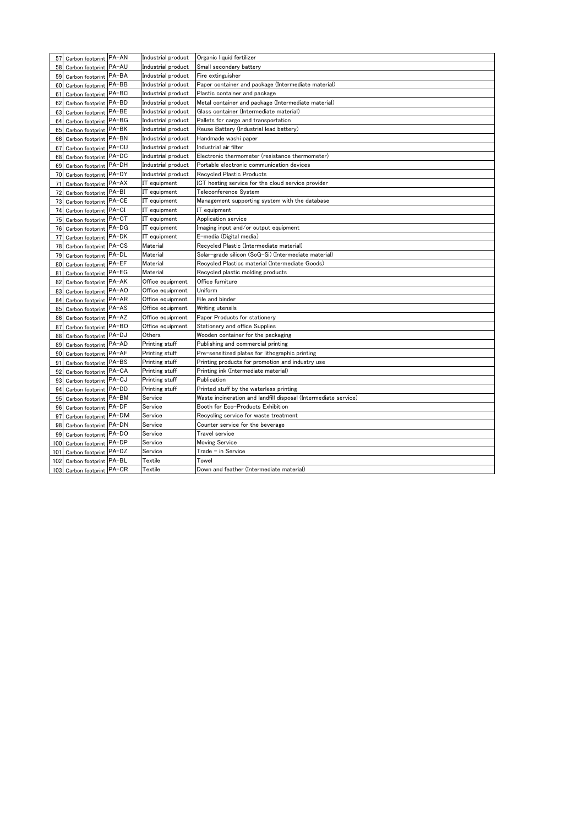| 57        | Carbon footprint PA-AN      | Industrial product | Organic liquid fertilizer                                                                            |
|-----------|-----------------------------|--------------------|------------------------------------------------------------------------------------------------------|
| 58        | Carbon footprint PA-AU      | Industrial product | Small secondary battery                                                                              |
|           | 59 Carbon footprint PA-BA   | Industrial product | Fire extinguisher                                                                                    |
|           | 60 Carbon footprint   PA-BB | Industrial product | Paper container and package (Intermediate material)                                                  |
| 61        | Carbon footprint PA-BC      | Industrial product | Plastic container and package                                                                        |
|           | 62 Carbon footprint PA-BD   | Industrial product | Metal container and package (Intermediate material)                                                  |
|           | 63 Carbon footprint PA-BE   | Industrial product | Glass container (Intermediate material)                                                              |
|           | 64 Carbon footprint PA-BG   | Industrial product | Pallets for cargo and transportation                                                                 |
| 65        | Carbon footprint PA-BK      | Industrial product | Reuse Battery (Industrial lead battery)                                                              |
|           | 66 Carbon footprint PA-BN   | Industrial product | Handmade washi paper                                                                                 |
|           | 67 Carbon footprint PA-CU   | Industrial product | Industrial air filter                                                                                |
| 68I       | Carbon footprint PA-DC      | Industrial product | Electronic thermometer (resistance thermometer)                                                      |
|           | 69 Carbon footprint PA-DH   | Industrial product | Portable electronic communication devices                                                            |
|           | 70 Carbon footprint   PA-DY | Industrial product | <b>Recycled Plastic Products</b>                                                                     |
| <b>71</b> | Carbon footprint PA-AX      | IT equipment       | ICT hosting service for the cloud service provider                                                   |
| 72        | Carbon footprint PA-BI      | IT equipment       | Teleconference System                                                                                |
|           | 73 Carbon footprint PA-CE   | IT equipment       | Management supporting system with the database                                                       |
|           | 74 Carbon footprint PA-CI   | IT equipment       | IT equipment                                                                                         |
|           | 75 Carbon footprint PA-CT   | IT equipment       | Application service                                                                                  |
|           | 76 Carbon footprint PA-DG   | IT equipment       | Imaging input and/or output equipment                                                                |
| 77        | Carbon footprint PA-DK      | IT equipment       | E-media (Digital media)                                                                              |
|           | 78 Carbon footprint PA-CS   | Material           | Recycled Plastic (Intermediate material)                                                             |
|           | 79 Carbon footprint PA-DL   | Material           | Solar-grade silicon (SoG-Si) (Intermediate material)                                                 |
|           | 80 Carbon footprint PA-EF   | Material           | Recycled Plastics material (Intermediate Goods)                                                      |
| 81        | Carbon footprint PA-EG      | Material           | Recycled plastic molding products                                                                    |
| 82        | Carbon footprint PA-AK      | Office equipment   | Office furniture                                                                                     |
|           | 83 Carbon footprint PA-AO   | Office equipment   | Uniform                                                                                              |
|           | 84 Carbon footprint PA-AR   | Office equipment   | File and binder                                                                                      |
|           | 85 Carbon footprint PA-AS   | Office equipment   | <b>Writing utensils</b>                                                                              |
|           | 86 Carbon footprint PA-AZ   | Office equipment   | Paper Products for stationery                                                                        |
| 87        | Carbon footprint PA-BO      | Office equipment   | Stationery and office Supplies                                                                       |
|           | 88 Carbon footprint PA-DJ   | <b>Others</b>      | Wooden container for the packaging                                                                   |
|           | 89 Carbon footprint   PA-AD | Printing stuff     | Publishing and commercial printing                                                                   |
|           | 90 Carbon footprint PA-AF   | Printing stuff     | Pre-sensitized plates for lithographic printing                                                      |
| 91        | Carbon footprint PA-BS      | Printing stuff     | Printing products for promotion and industry use                                                     |
|           | 92 Carbon footprint PA-CA   | Printing stuff     | Printing ink (Intermediate material)                                                                 |
|           | 93 Carbon footprint PA-CJ   | Printing stuff     | Publication                                                                                          |
| 94        | Carbon footprint PA-DD      | Printing stuff     | Printed stuff by the waterless printing                                                              |
|           | 95 Carbon footprint PA-BM   | Service            | Waste incineration and landfill disposal (Intermediate service)<br>Booth for Eco-Products Exhibition |
|           | 96 Carbon footprint PA-DF   | Service            |                                                                                                      |
|           | 97 Carbon footprint PA-DM   | Service            | Recycling service for waste treatment                                                                |
|           | 98 Carbon footprint PA-DN   | Service            | Counter service for the beverage                                                                     |
|           | 99 Carbon footprint PA-DO   | Service            | Travel service                                                                                       |
|           | 100 Carbon footprint PA-DP  | Service            | <b>Moving Service</b>                                                                                |
| 101       | Carbon footprint PA-DZ      | Service            | Trade - in Service                                                                                   |
|           | 102 Carbon footprint PA-BL  | Textile            | Towel                                                                                                |
|           | 103 Carbon footprint PA-CR  | Textile            | Down and feather (Intermediate material)                                                             |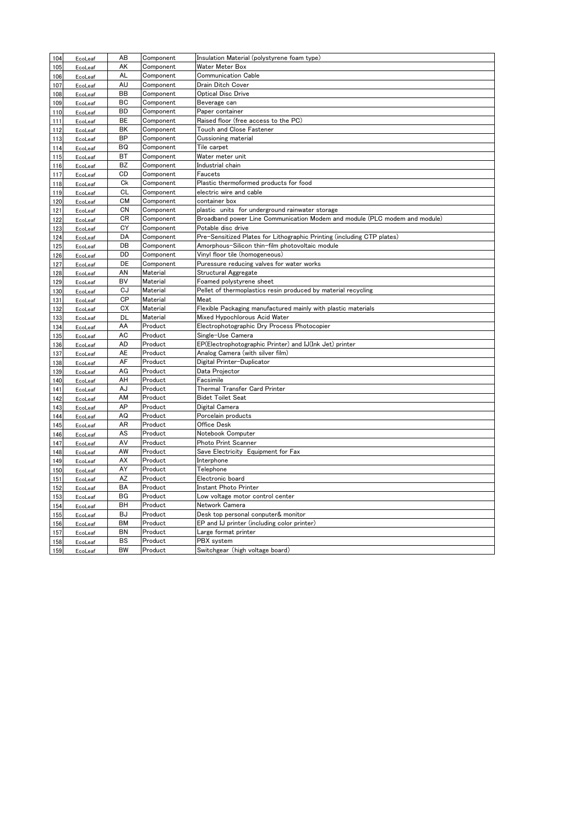| 104        | EcoLeaf | AB        | Component       | Insulation Material (polystyrene foam type)                                |
|------------|---------|-----------|-----------------|----------------------------------------------------------------------------|
| 105        | EcoLeaf | AK        | Component       | <b>Water Meter Box</b>                                                     |
| 106        | EcoLeaf | <b>AL</b> | Component       | <b>Communication Cable</b>                                                 |
| 107        |         | <b>AU</b> | Component       | Drain Ditch Cover                                                          |
|            | EcoLeaf | <b>BB</b> | Component       | <b>Optical Disc Drive</b>                                                  |
| 108        | EcoLeaf | <b>BC</b> | Component       |                                                                            |
| 109        | EcoLeaf |           |                 | Beverage can                                                               |
| 110        | EcoLeaf | <b>BD</b> | Component       | Paper container                                                            |
| 111        | EcoLeaf | <b>BE</b> | Component       | Raised floor (free access to the PC)                                       |
| 112        | EcoLeaf | BK        | Component       | Touch and Close Fastener                                                   |
| 113        | EcoLeaf | <b>BP</b> | Component       | <b>Cussioning material</b>                                                 |
| 114        | EcoLeaf | <b>BQ</b> | Component       | Tile carpet                                                                |
| 115        | EcoLeaf | <b>BT</b> | Component       | Water meter unit                                                           |
| 116        | EcoLeaf | <b>BZ</b> | Component       | Industrial chain                                                           |
| 117        | EcoLeaf | CD        | Component       | <b>Faucets</b>                                                             |
| 118        | EcoLeaf | Ck        | Component       | Plastic thermoformed products for food                                     |
| 119        | EcoLeaf | <b>CL</b> | Component       | electric wire and cable                                                    |
| 120        | EcoLeaf | <b>CM</b> | Component       | container box                                                              |
| 121        | EcoLeaf | <b>CN</b> | Component       | plastic units for underground rainwater storage                            |
| <u>122</u> | EcoLeaf | <b>CR</b> | Component       | Broadband power Line Communication Modem and module (PLC modem and module) |
| 123        | EcoLeaf | <b>CY</b> | Component       | Potable disc drive                                                         |
| 124        | EcoLeaf | DA        | Component       | Pre-Sensitized Plates for Lithographic Printing (including CTP plates)     |
| 125        | EcoLeaf | DB        | Component       | Amorphous-Silicon thin-film photovoltaic module                            |
| 126        | EcoLeaf | DD        | Component       | Vinyl floor tile (homogeneous)                                             |
| 127        | EcoLeaf | DE        | Component       | Puressure reducing valves for water works                                  |
| 128        | EcoLeaf | <b>AN</b> | Material        | Structural Aggregate                                                       |
| 129        | EcoLeaf | <b>BV</b> | Material        | Foamed polystyrene sheet                                                   |
|            |         | CJ        | <b>Material</b> | Pellet of thermoplastics resin produced by material recycling              |
| 130        | EcoLeaf | <b>CP</b> | <b>Material</b> | Meat                                                                       |
| 131        | EcoLeaf | <b>CX</b> | Material        |                                                                            |
| 132        | EcoLeaf |           | <b>Material</b> | Flexible Packaging manufactured mainly with plastic materials              |
| 133        | EcoLeaf | <b>DL</b> |                 | Mixed Hypochlorous Acid Water                                              |
| 134        | EcoLeaf | AA        | Product         | Electrophotographic Dry Process Photocopier                                |
| 135        | EcoLeaf | <b>AC</b> | Product         | Single-Use Camera                                                          |
| 136        | EcoLeaf | AD        | Product         | EP(Electrophotographic Printer) and IJ(Ink Jet) printer                    |
| 137        | EcoLeaf | AE        | Product         | Analog Camera (with silver film)                                           |
| 138        | EcoLeaf | AF        | Product         | Digital Printer-Duplicator                                                 |
| 139        | EcoLeaf | AG        | Product         | Data Projector                                                             |
| 140        | EcoLeaf | AH        | Product         | Facsimile                                                                  |
| 141        | EcoLeaf | AJ        | Product         | Thermal Transfer Card Printer                                              |
| 142        | EcoLeaf | AM        | Product         | <b>Bidet Toilet Seat</b>                                                   |
| 143        | EcoLeaf | <b>AP</b> | Product         | Digital Camera                                                             |
| 144        | EcoLeaf | AQ        | Product         | Porcelain products                                                         |
| 145        | EcoLeaf | <b>AR</b> | Product         | <b>Office Desk</b>                                                         |
| 146        | EcoLeaf | AS        | Product         | Notebook Computer                                                          |
| 147        | EcoLeaf | AV        | Product         | <b>Photo Print Scanner</b>                                                 |
| 148        | EcoLeaf | AW        | Product         | Save Electricity Equipment for Fax                                         |
| 149        | EcoLeaf | <b>AX</b> | Product         | Interphone                                                                 |
| 150        | EcoLeaf | AY        | Product         | Telephone                                                                  |
| 151        | EcoLeaf | <b>AZ</b> | Product         | Electronic board                                                           |
| 152        | EcoLeaf | <b>BA</b> | Product         | <b>Instant Photo Printer</b>                                               |
| 153        | EcoLeaf | BG        | Product         | Low voltage motor control center                                           |
| 154        |         | <b>BH</b> | Product         | Network Camera                                                             |
|            | EcoLeaf | <b>BJ</b> | Product         | Desk top personal conputer& monitor                                        |
| 155        | EcoLeaf | <b>BM</b> | Product         | EP and IJ printer (including color printer)                                |
| 156        | EcoLeaf |           | Product         |                                                                            |
| 157        | EcoLeaf | BN        |                 | Large format printer                                                       |
| 158        | EcoLeaf | <b>BS</b> | Product         | PBX system                                                                 |
| 159        | EcoLeaf | BW        | Product         | Switchgear (high voltage board)                                            |